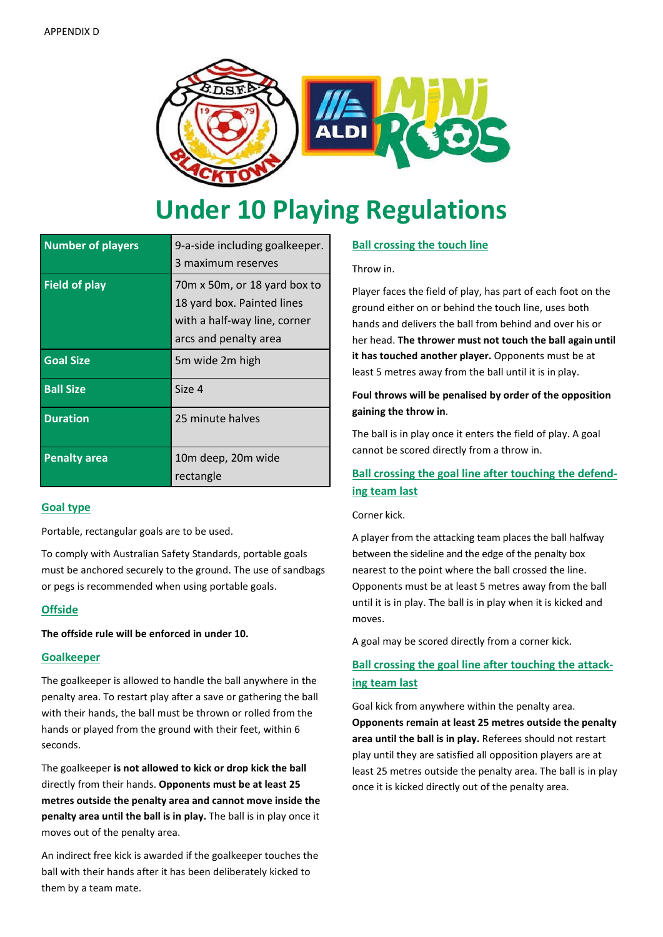

# **Under 10 Playing Regulations**

| <b>Number of players</b> | 9-a-side including goalkeeper.<br>3 maximum reserves                                                                |
|--------------------------|---------------------------------------------------------------------------------------------------------------------|
| <b>Field of play</b>     | 70m x 50m, or 18 yard box to<br>18 yard box. Painted lines<br>with a half-way line, corner<br>arcs and penalty area |
| <b>Goal Size</b>         | 5m wide 2m high                                                                                                     |
| <b>Ball Size</b>         | Size 4                                                                                                              |
| <b>Duration</b>          | 25 minute halves                                                                                                    |
| <b>Penalty area</b>      | 10m deep, 20m wide<br>rectangle                                                                                     |

## **Goal type**

Portable, rectangular goals are to be used.

To comply with Australian Safety Standards, portable goals must be anchored securely to the ground. The use of sandbags or pegs is recommended when using portable goals.

## **Offside**

**The offside rule will be enforced in under 10.**

## **Goalkeeper**

The goalkeeper is allowed to handle the ball anywhere in the penalty area. To restart play after a save or gathering the ball with their hands, the ball must be thrown or rolled from the hands or played from the ground with their feet, within 6 seconds.

The goalkeeper **is not allowed to kick or drop kick the ball**  directly from their hands. **Opponents must be at least 25 metres outside the penalty area and cannot move inside the penalty area until the ball is in play.** The ball is in play once it moves out of the penalty area.

An indirect free kick is awarded if the goalkeeper touches the ball with their hands after it has been deliberately kicked to them by a team mate.

## **Ball crossing the touch line**

#### Throw in.

Player faces the field of play, has part of each foot on the ground either on or behind the touch line, uses both hands and delivers the ball from behind and over his or her head. **The thrower must not touch the ball again until it has touched another player.** Opponents must be at least 5 metres away from the ball until it is in play.

## **Foul throws will be penalised by order of the opposition gaining the throw in**.

The ball is in play once it enters the field of play. A goal cannot be scored directly from a throw in.

## **Ball crossing the goal line after touching the defending team last**

Corner kick.

A player from the attacking team places the ball halfway between the sideline and the edge of the penalty box nearest to the point where the ball crossed the line. Opponents must be at least 5 metres away from the ball until it is in play. The ball is in play when it is kicked and moves.

A goal may be scored directly from a corner kick.

## **Ball crossing the goal line after touching the attacking team last**

Goal kick from anywhere within the penalty area. **Opponents remain at least 25 metres outside the penalty area until the ball is in play.** Referees should not restart play until they are satisfied all opposition players are at least 25 metres outside the penalty area. The ball is in play once it is kicked directly out of the penalty area.